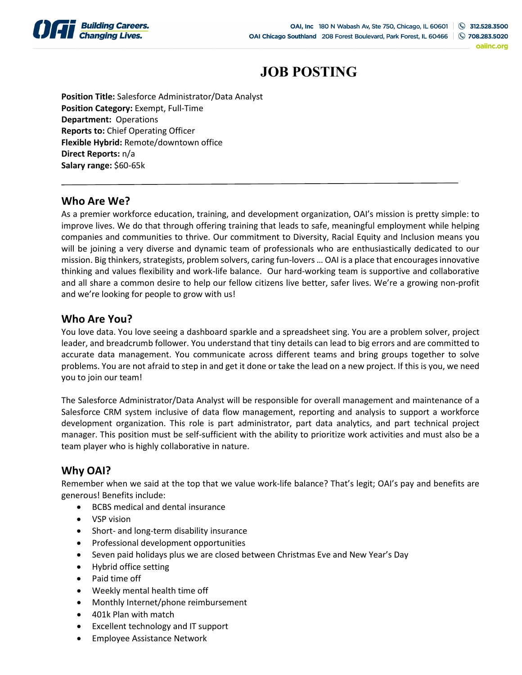

oaiinc.org

# **JOB POSTING**

**Position Title:** Salesforce Administrator/Data Analyst **Position Category:** Exempt, Full-Time **Department:** Operations **Reports to:** Chief Operating Officer **Flexible Hybrid:** Remote/downtown office **Direct Reports:** n/a **Salary range:** \$60-65k

#### **Who Are We?**

As a premier workforce education, training, and development organization, OAI's mission is pretty simple: to improve lives. We do that through offering training that leads to safe, meaningful employment while helping companies and communities to thrive. Our commitment to Diversity, Racial Equity and Inclusion means you will be joining a very diverse and dynamic team of professionals who are enthusiastically dedicated to our mission. Big thinkers, strategists, problem solvers, caring fun-lovers … OAI is a place that encourages innovative thinking and values flexibility and work-life balance. Our hard-working team is supportive and collaborative and all share a common desire to help our fellow citizens live better, safer lives. We're a growing non-profit and we're looking for people to grow with us!

#### **Who Are You?**

You love data. You love seeing a dashboard sparkle and a spreadsheet sing. You are a problem solver, project leader, and breadcrumb follower. You understand that tiny details can lead to big errors and are committed to accurate data management. You communicate across different teams and bring groups together to solve problems. You are not afraid to step in and get it done or take the lead on a new project. If this is you, we need you to join our team!

The Salesforce Administrator/Data Analyst will be responsible for overall management and maintenance of a Salesforce CRM system inclusive of data flow management, reporting and analysis to support a workforce development organization. This role is part administrator, part data analytics, and part technical project manager. This position must be self-sufficient with the ability to prioritize work activities and must also be a team player who is highly collaborative in nature.

## **Why OAI?**

Remember when we said at the top that we value work-life balance? That's legit; OAI's pay and benefits are generous! Benefits include:

- BCBS medical and dental insurance
- VSP vision
- Short- and long-term disability insurance
- Professional development opportunities
- Seven paid holidays plus we are closed between Christmas Eve and New Year's Day
- Hybrid office setting
- Paid time off
- Weekly mental health time off
- Monthly Internet/phone reimbursement
- 401k Plan with match
- Excellent technology and IT support
- Employee Assistance Network